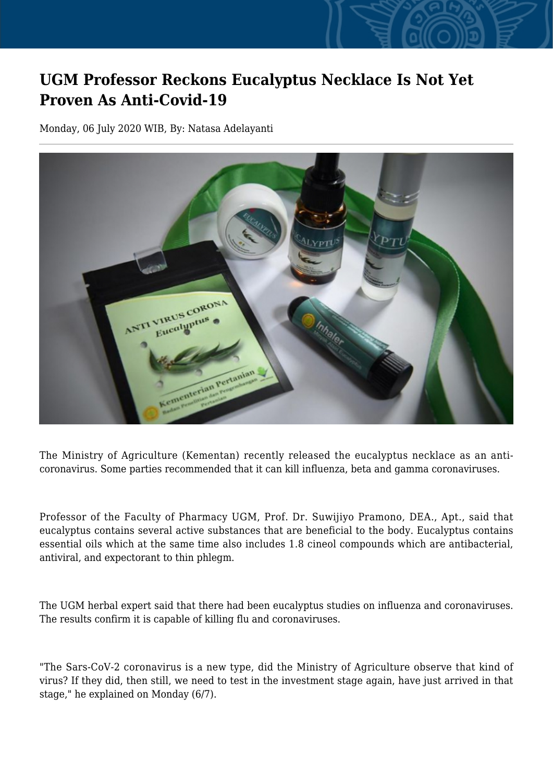## **UGM Professor Reckons Eucalyptus Necklace Is Not Yet Proven As Anti-Covid-19**

Monday, 06 July 2020 WIB, By: Natasa Adelayanti



The Ministry of Agriculture (Kementan) recently released the eucalyptus necklace as an anticoronavirus. Some parties recommended that it can kill influenza, beta and gamma coronaviruses.

Professor of the Faculty of Pharmacy UGM, Prof. Dr. Suwijiyo Pramono, DEA., Apt., said that eucalyptus contains several active substances that are beneficial to the body. Eucalyptus contains essential oils which at the same time also includes 1.8 cineol compounds which are antibacterial, antiviral, and expectorant to thin phlegm.

The UGM herbal expert said that there had been eucalyptus studies on influenza and coronaviruses. The results confirm it is capable of killing flu and coronaviruses.

"The Sars-CoV-2 coronavirus is a new type, did the Ministry of Agriculture observe that kind of virus? If they did, then still, we need to test in the investment stage again, have just arrived in that stage," he explained on Monday (6/7).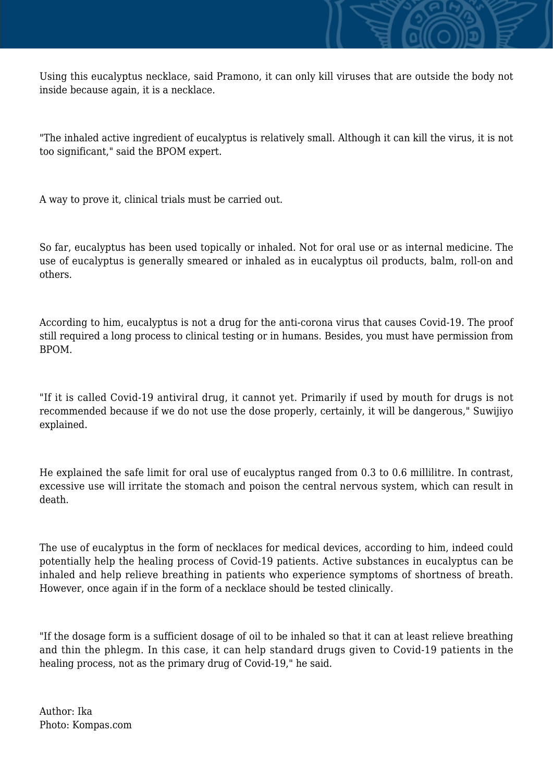Using this eucalyptus necklace, said Pramono, it can only kill viruses that are outside the body not inside because again, it is a necklace.

"The inhaled active ingredient of eucalyptus is relatively small. Although it can kill the virus, it is not too significant," said the BPOM expert.

A way to prove it, clinical trials must be carried out.

So far, eucalyptus has been used topically or inhaled. Not for oral use or as internal medicine. The use of eucalyptus is generally smeared or inhaled as in eucalyptus oil products, balm, roll-on and others.

According to him, eucalyptus is not a drug for the anti-corona virus that causes Covid-19. The proof still required a long process to clinical testing or in humans. Besides, you must have permission from BPOM.

"If it is called Covid-19 antiviral drug, it cannot yet. Primarily if used by mouth for drugs is not recommended because if we do not use the dose properly, certainly, it will be dangerous," Suwijiyo explained.

He explained the safe limit for oral use of eucalyptus ranged from 0.3 to 0.6 millilitre. In contrast, excessive use will irritate the stomach and poison the central nervous system, which can result in death.

The use of eucalyptus in the form of necklaces for medical devices, according to him, indeed could potentially help the healing process of Covid-19 patients. Active substances in eucalyptus can be inhaled and help relieve breathing in patients who experience symptoms of shortness of breath. However, once again if in the form of a necklace should be tested clinically.

"If the dosage form is a sufficient dosage of oil to be inhaled so that it can at least relieve breathing and thin the phlegm. In this case, it can help standard drugs given to Covid-19 patients in the healing process, not as the primary drug of Covid-19," he said.

Author: Ika Photo: Kompas.com